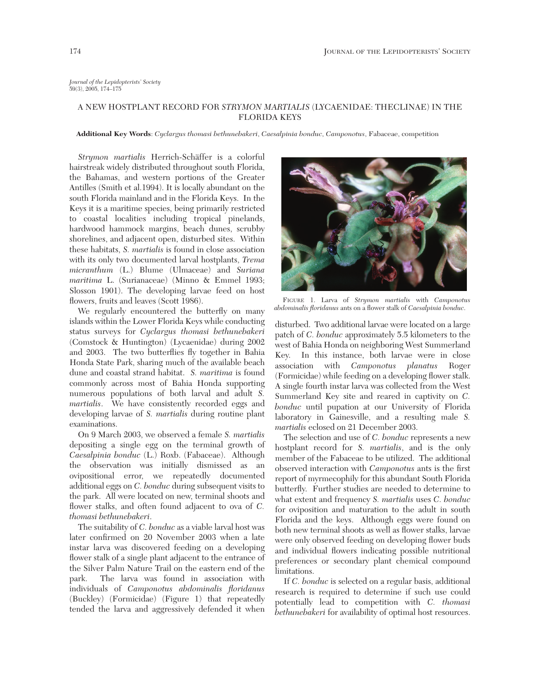*Journal of the Lepidopterists' Society* 59(3), 2005, 174–175

## A NEW HOSTPLANT RECORD FOR *STRYMON MARTIALIS* (LYCAENIDAE: THECLINAE) IN THE FLORIDA KEYS

**Additional Key Words**: *Cyclargus thomasi bethunebakeri*, *Caesalpinia bonduc*, *Camponotus*, Fabaceae, competition

*Strymon martialis* Herrich-Schäffer is a colorful hairstreak widely distributed throughout south Florida, the Bahamas, and western portions of the Greater Antilles (Smith et al.1994). It is locally abundant on the south Florida mainland and in the Florida Keys. In the Keys it is a maritime species, being primarily restricted to coastal localities including tropical pinelands, hardwood hammock margins, beach dunes, scrubby shorelines, and adjacent open, disturbed sites. Within these habitats, *S. martialis* is found in close association with its only two documented larval hostplants, *Trema micranthum* (L.) Blume (Ulmaceae) and *Suriana maritima* L. (Surianaceae) (Minno & Emmel 1993; Slosson 1901). The developing larvae feed on host flowers, fruits and leaves (Scott 1986).

We regularly encountered the butterfly on many islands within the Lower Florida Keys while conducting status surveys for *Cyclargus thomasi bethunebakeri* (Comstock & Huntington) (Lycaenidae) during 2002 and 2003. The two butterflies fly together in Bahia Honda State Park, sharing much of the available beach dune and coastal strand habitat. *S. maritima* is found commonly across most of Bahia Honda supporting numerous populations of both larval and adult *S. martialis*. We have consistently recorded eggs and developing larvae of *S. martialis* during routine plant examinations.

On 9 March 2003, we observed a female *S. martialis* depositing a single egg on the terminal growth of *Caesalpinia bonduc* (L.) Roxb. (Fabaceae). Although the observation was initially dismissed as an ovipositional error, we repeatedly documented additional eggs on *C. bonduc* during subsequent visits to the park. All were located on new, terminal shoots and flower stalks, and often found adjacent to ova of *C. thomasi bethunebakeri*.

The suitability of *C. bonduc* as a viable larval host was later confirmed on 20 November 2003 when a late instar larva was discovered feeding on a developing flower stalk of a single plant adjacent to the entrance of the Silver Palm Nature Trail on the eastern end of the park. The larva was found in association with individuals of *Camponotus abdominalis floridanus* (Buckley) (Formicidae) (Figure 1) that repeatedly tended the larva and aggressively defended it when



FIGURE 1. Larva of *Strymon martialis* with *Camponotus abdominalis floridanus* ants on a flower stalk of *Caesalpinia bonduc*.

disturbed. Two additional larvae were located on a large patch of *C. bonduc* approximately 5.5 kilometers to the west of Bahia Honda on neighboring West Summerland Key. In this instance, both larvae were in close association with *Camponotus planatus* Roger (Formicidae) while feeding on a developing flower stalk. A single fourth instar larva was collected from the West Summerland Key site and reared in captivity on *C. bonduc* until pupation at our University of Florida laboratory in Gainesville, and a resulting male *S. martialis* eclosed on 21 December 2003.

The selection and use of *C. bonduc* represents a new hostplant record for *S. martialis*, and is the only member of the Fabaceae to be utilized. The additional observed interaction with *Camponotus* ants is the first report of myrmecophily for this abundant South Florida butterfly. Further studies are needed to determine to what extent and frequency *S. martialis* uses *C. bonduc* for oviposition and maturation to the adult in south Florida and the keys. Although eggs were found on both new terminal shoots as well as flower stalks, larvae were only observed feeding on developing flower buds and individual flowers indicating possible nutritional preferences or secondary plant chemical compound limitations.

If *C. bonduc* is selected on a regular basis, additional research is required to determine if such use could potentially lead to competition with *C. thomasi bethunebakeri* for availability of optimal host resources.